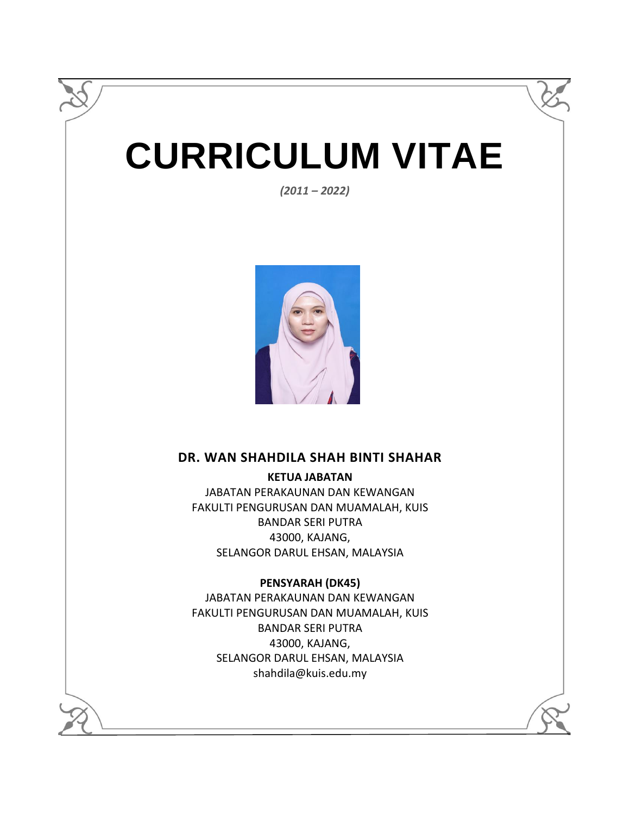# **CURRICULUM VITAE**

*(2011 – 2022)*



## **DR. WAN SHAHDILA SHAH BINTI SHAHAR**

**KETUA JABATAN**  JABATAN PERAKAUNAN DAN KEWANGAN

FAKULTI PENGURUSAN DAN MUAMALAH, KUIS BANDAR SERI PUTRA 43000, KAJANG, SELANGOR DARUL EHSAN, MALAYSIA

#### **PENSYARAH (DK45)**

JABATAN PERAKAUNAN DAN KEWANGAN FAKULTI PENGURUSAN DAN MUAMALAH, KUIS BANDAR SERI PUTRA 43000, KAJANG, SELANGOR DARUL EHSAN, MALAYSIA shahdila@kuis.edu.my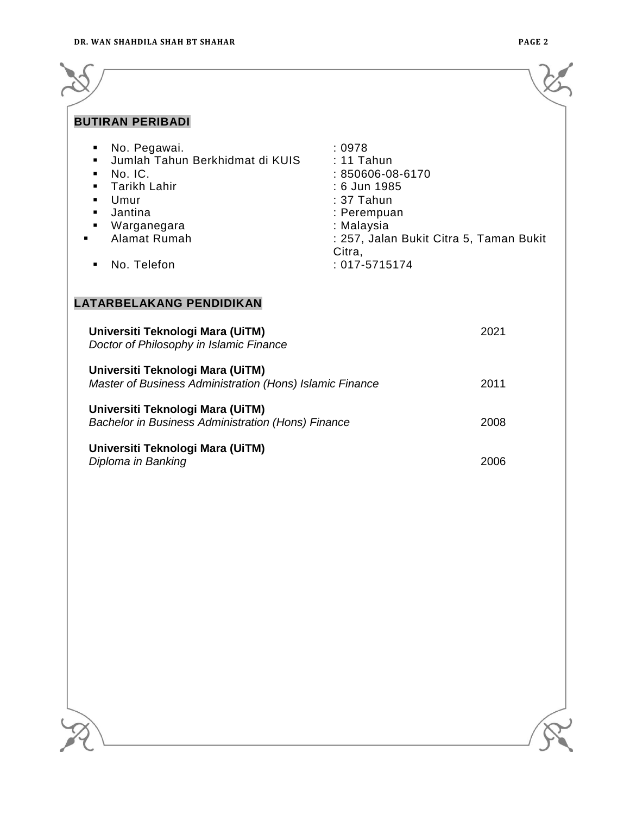| <b>BUTIRAN PERIBADI</b>                                                                                                                                                                                                                                              |                                                                                                                                                                                |
|----------------------------------------------------------------------------------------------------------------------------------------------------------------------------------------------------------------------------------------------------------------------|--------------------------------------------------------------------------------------------------------------------------------------------------------------------------------|
| No. Pegawai.<br>٠<br>Jumlah Tahun Berkhidmat di KUIS<br>$\blacksquare$<br>No. IC.<br>٠<br><b>Tarikh Lahir</b><br>٠<br>Umur<br>$\blacksquare$<br>Jantina<br>$\blacksquare$<br>Warganegara<br>٠<br>Alamat Rumah<br>No. Telefon<br>٠<br><b>LATARBELAKANG PENDIDIKAN</b> | :0978<br>$: 11$ Tahun<br>: 850606-08-6170<br>: 6 Jun 1985<br>: 37 Tahun<br>: Perempuan<br>: Malaysia<br>: 257, Jalan Bukit Citra 5, Taman Bukit<br>Citra,<br>$: 017 - 5715174$ |
| Universiti Teknologi Mara (UiTM)<br>Doctor of Philosophy in Islamic Finance                                                                                                                                                                                          | 2021                                                                                                                                                                           |
| Universiti Teknologi Mara (UiTM)<br>Master of Business Administration (Hons) Islamic Finance                                                                                                                                                                         | 2011                                                                                                                                                                           |
| Universiti Teknologi Mara (UiTM)<br><b>Bachelor in Business Administration (Hons) Finance</b>                                                                                                                                                                        | 2008                                                                                                                                                                           |
| Universiti Teknologi Mara (UiTM)<br>Diploma in Banking                                                                                                                                                                                                               | 2006                                                                                                                                                                           |

<u> 1980 - Johann Barn, amerikansk politiker (</u>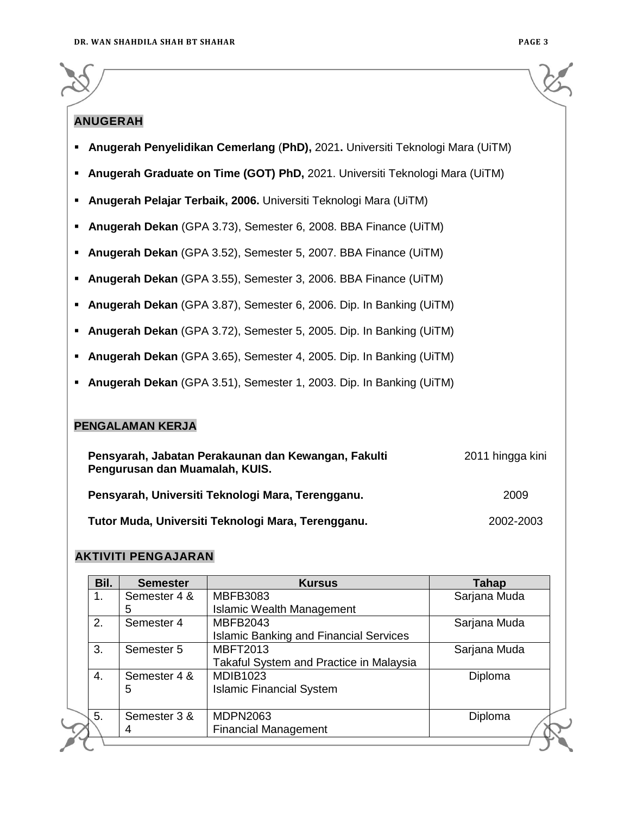## **ANUGERAH**

- **Anugerah Penyelidikan Cemerlang** (**PhD),** 2021**.** Universiti Teknologi Mara (UiTM)
- **Anugerah Graduate on Time (GOT) PhD,** 2021. Universiti Teknologi Mara (UiTM)
- **Anugerah Pelajar Terbaik, 2006.** Universiti Teknologi Mara (UiTM)
- **Anugerah Dekan** (GPA 3.73), Semester 6, 2008. BBA Finance (UiTM)
- **Anugerah Dekan** (GPA 3.52), Semester 5, 2007. BBA Finance (UiTM)
- **Anugerah Dekan** (GPA 3.55), Semester 3, 2006. BBA Finance (UiTM)
- **Anugerah Dekan** (GPA 3.87), Semester 6, 2006. Dip. In Banking (UiTM)
- **Anugerah Dekan** (GPA 3.72), Semester 5, 2005. Dip. In Banking (UiTM)
- **Anugerah Dekan** (GPA 3.65), Semester 4, 2005. Dip. In Banking (UiTM)
- **Anugerah Dekan** (GPA 3.51), Semester 1, 2003. Dip. In Banking (UiTM)

#### **PENGALAMAN KERJA**

| Pensyarah, Jabatan Perakaunan dan Kewangan, Fakulti<br>Pengurusan dan Muamalah, KUIS. | 2011 hingga kini |
|---------------------------------------------------------------------------------------|------------------|
| Pensyarah, Universiti Teknologi Mara, Terengganu.                                     | 2009             |
| Tutor Muda, Universiti Teknologi Mara, Terengganu.                                    | 2002-2003        |

#### **AKTIVITI PENGAJARAN**

| <b>Semester</b> | <b>Kursus</b>                                 | <b>Tahap</b>                                   |  |
|-----------------|-----------------------------------------------|------------------------------------------------|--|
| Semester 4 &    | <b>MBFB3083</b>                               | Sarjana Muda                                   |  |
| 5               | <b>Islamic Wealth Management</b>              |                                                |  |
| Semester 4      | MBFB2043                                      | Sarjana Muda                                   |  |
|                 | <b>Islamic Banking and Financial Services</b> |                                                |  |
| Semester 5      | <b>MBFT2013</b>                               | Sarjana Muda                                   |  |
|                 | Takaful System and Practice in Malaysia       |                                                |  |
| Semester 4 &    | <b>MDIB1023</b>                               | Diploma                                        |  |
| 5               | <b>Islamic Financial System</b>               |                                                |  |
|                 |                                               | Diploma                                        |  |
|                 |                                               |                                                |  |
|                 |                                               |                                                |  |
|                 | Semester 3 &<br>4                             | <b>MDPN2063</b><br><b>Financial Management</b> |  |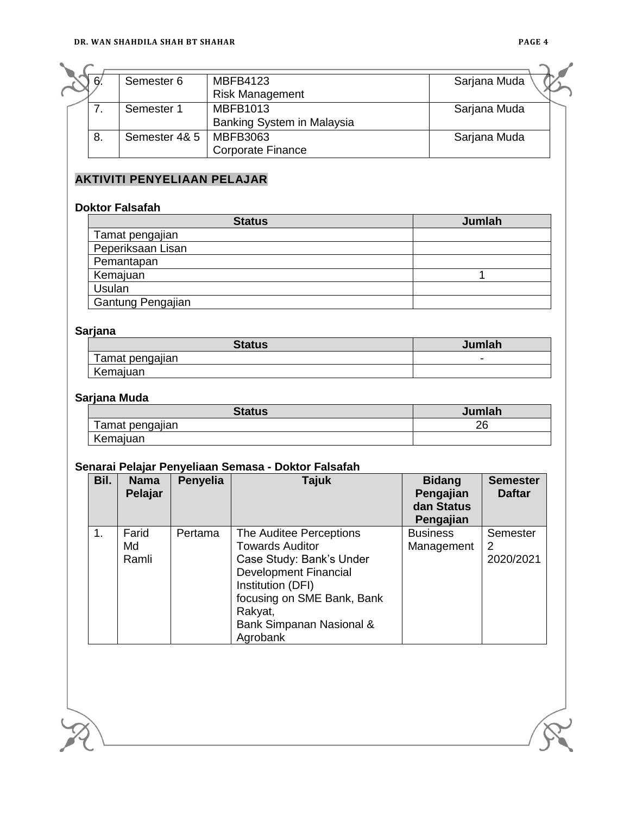| 6  | Semester 6    | <b>MBFB4123</b>            | Sarjana Muda |  |
|----|---------------|----------------------------|--------------|--|
|    |               | <b>Risk Management</b>     |              |  |
|    | Semester 1    | <b>MBFB1013</b>            | Sarjana Muda |  |
|    |               | Banking System in Malaysia |              |  |
| 8. | Semester 4& 5 | MBFB3063                   | Sarjana Muda |  |
|    |               | <b>Corporate Finance</b>   |              |  |

## **AKTIVITI PENYELIAAN PELAJAR**

#### **Doktor Falsafah**

| <b>Status</b>     | Jumlah |
|-------------------|--------|
| Tamat pengajian   |        |
| Peperiksaan Lisan |        |
| Pemantapan        |        |
| Kemajuan          |        |
| Usulan            |        |
| Gantung Pengajian |        |

#### **Sarjana**

| <b>Status</b>   | Jumlah |
|-----------------|--------|
| Tamat pengajian | -      |
| Kemajuan        |        |

#### **Sarjana Muda**

| <b>Status</b>   | Jumlah |
|-----------------|--------|
| Tamat pengajian | 26     |
| Kemajuan        |        |

#### **Senarai Pelajar Penyeliaan Semasa - Doktor Falsafah**

| Bil. | <b>Nama</b><br>Pelajar | <b>Penyelia</b> | <b>Tajuk</b>                                                                                                                                                                                                        | <b>Bidang</b><br>Pengajian<br>dan Status<br>Pengajian | <b>Semester</b><br><b>Daftar</b> |
|------|------------------------|-----------------|---------------------------------------------------------------------------------------------------------------------------------------------------------------------------------------------------------------------|-------------------------------------------------------|----------------------------------|
| 1.   | Farid<br>Md<br>Ramli   | Pertama         | The Auditee Perceptions<br><b>Towards Auditor</b><br>Case Study: Bank's Under<br><b>Development Financial</b><br>Institution (DFI)<br>focusing on SME Bank, Bank<br>Rakyat,<br>Bank Simpanan Nasional &<br>Agrobank | <b>Business</b><br>Management                         | Semester<br>2<br>2020/2021       |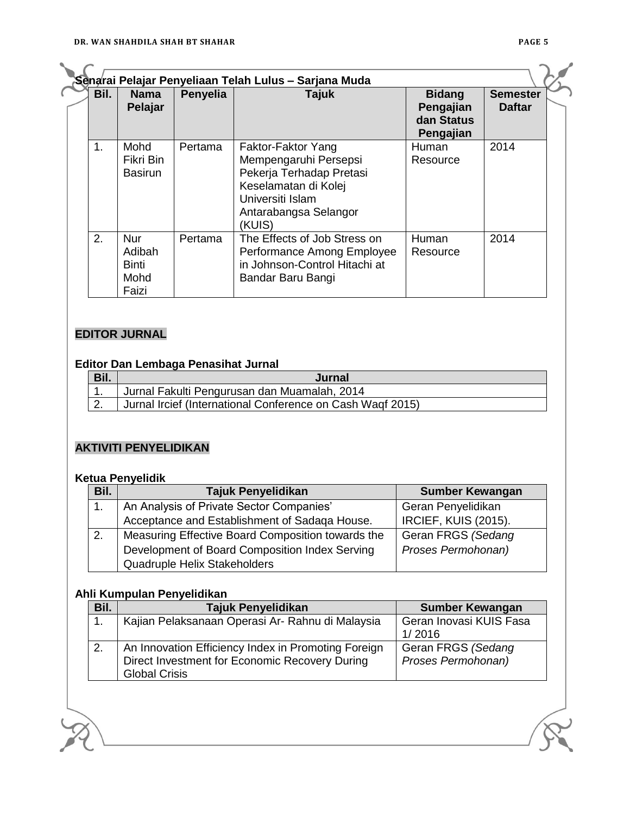| Bil. | <b>Nama</b><br>Pelajar                         | Penyelia | Tajuk                                                                                                                                                  | <b>Bidang</b><br>Pengajian<br>dan Status<br>Pengajian | <b>Semester</b><br><b>Daftar</b> |
|------|------------------------------------------------|----------|--------------------------------------------------------------------------------------------------------------------------------------------------------|-------------------------------------------------------|----------------------------------|
| 1.   | Mohd<br>Fikri Bin<br><b>Basirun</b>            | Pertama  | Faktor-Faktor Yang<br>Mempengaruhi Persepsi<br>Pekerja Terhadap Pretasi<br>Keselamatan di Kolej<br>Universiti Islam<br>Antarabangsa Selangor<br>(KUIS) | Human<br>Resource                                     | 2014                             |
| 2.   | <b>Nur</b><br>Adibah<br>Binti<br>Mohd<br>Faizi | Pertama  | The Effects of Job Stress on<br>Performance Among Employee<br>in Johnson-Control Hitachi at<br>Bandar Baru Bangi                                       | Human<br>Resource                                     | 2014                             |

## **EDITOR JURNAL**

#### **Editor Dan Lembaga Penasihat Jurnal**

| Bil. | Jurnal                                                     |
|------|------------------------------------------------------------|
|      | Jurnal Fakulti Pengurusan dan Muamalah, 2014               |
|      | Jurnal Ircief (International Conference on Cash Wagf 2015) |

### **AKTIVITI PENYELIDIKAN**

#### **Ketua Penyelidik**

| Bil. | <b>Tajuk Penyelidikan</b>                         | <b>Sumber Kewangan</b>      |
|------|---------------------------------------------------|-----------------------------|
|      | An Analysis of Private Sector Companies'          | Geran Penyelidikan          |
|      | Acceptance and Establishment of Sadaqa House.     | <b>IRCIEF, KUIS (2015).</b> |
| 2.   | Measuring Effective Board Composition towards the | Geran FRGS (Sedang          |
|      | Development of Board Composition Index Serving    | Proses Permohonan)          |
|      | Quadruple Helix Stakeholders                      |                             |

#### **Ahli Kumpulan Penyelidikan**

| Bil. | <b>Tajuk Penyelidikan</b>                           | <b>Sumber Kewangan</b>  |
|------|-----------------------------------------------------|-------------------------|
|      | Kajian Pelaksanaan Operasi Ar- Rahnu di Malaysia    | Geran Inovasi KUIS Fasa |
|      |                                                     | 1/2016                  |
| 2.   | An Innovation Efficiency Index in Promoting Foreign | Geran FRGS (Sedang      |
|      | Direct Investment for Economic Recovery During      | Proses Permohonan)      |
|      | <b>Global Crisis</b>                                |                         |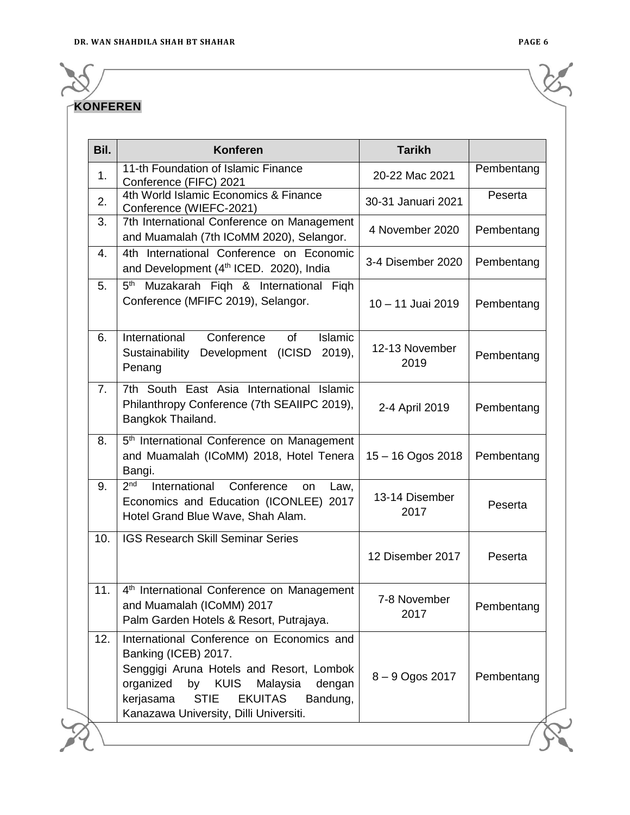## **KONFEREN**

| Bil. | <b>Konferen</b>                                                                                                                                                                                                                 | <b>Tarikh</b>          |            |
|------|---------------------------------------------------------------------------------------------------------------------------------------------------------------------------------------------------------------------------------|------------------------|------------|
| 1.   | 11-th Foundation of Islamic Finance<br>Conference (FIFC) 2021                                                                                                                                                                   | 20-22 Mac 2021         | Pembentang |
| 2.   | 4th World Islamic Economics & Finance<br>Conference (WIEFC-2021)                                                                                                                                                                | 30-31 Januari 2021     | Peserta    |
| 3.   | 7th International Conference on Management<br>and Muamalah (7th ICoMM 2020), Selangor.                                                                                                                                          | 4 November 2020        | Pembentang |
| 4.   | 4th International Conference on Economic<br>and Development (4 <sup>th</sup> ICED. 2020), India                                                                                                                                 | 3-4 Disember 2020      | Pembentang |
| 5.   | 5 <sup>th</sup> Muzakarah Fiqh & International Fiqh<br>Conference (MFIFC 2019), Selangor.                                                                                                                                       | 10 - 11 Juai 2019      | Pembentang |
| 6.   | International<br>Conference<br>Islamic<br>οf<br>Sustainability Development (ICISD<br>$2019$ ,<br>Penang                                                                                                                         | 12-13 November<br>2019 | Pembentang |
| 7.   | 7th South East Asia International Islamic<br>Philanthropy Conference (7th SEAIIPC 2019),<br>Bangkok Thailand.                                                                                                                   | 2-4 April 2019         | Pembentang |
| 8.   | 5 <sup>th</sup> International Conference on Management<br>and Muamalah (ICoMM) 2018, Hotel Tenera<br>Bangi.                                                                                                                     | $15 - 16$ Ogos 2018    | Pembentang |
| 9.   | 2 <sup>nd</sup><br>International<br>Conference<br>Law,<br><b>on</b><br>Economics and Education (ICONLEE) 2017<br>Hotel Grand Blue Wave, Shah Alam.                                                                              | 13-14 Disember<br>2017 | Peserta    |
| 10.  | <b>IGS Research Skill Seminar Series</b>                                                                                                                                                                                        | 12 Disember 2017       | Peserta    |
| 11.  | 4 <sup>th</sup> International Conference on Management<br>and Muamalah (ICoMM) 2017<br>Palm Garden Hotels & Resort, Putrajaya.                                                                                                  | 7-8 November<br>2017   | Pembentang |
| 12.  | International Conference on Economics and<br>Banking (ICEB) 2017.<br>Senggigi Aruna Hotels and Resort, Lombok<br>organized<br><b>KUIS</b><br>by<br>Malaysia<br>dengan<br><b>STIE</b><br><b>EKUITAS</b><br>kerjasama<br>Bandung, | 8-9 Ogos 2017          | Pembentang |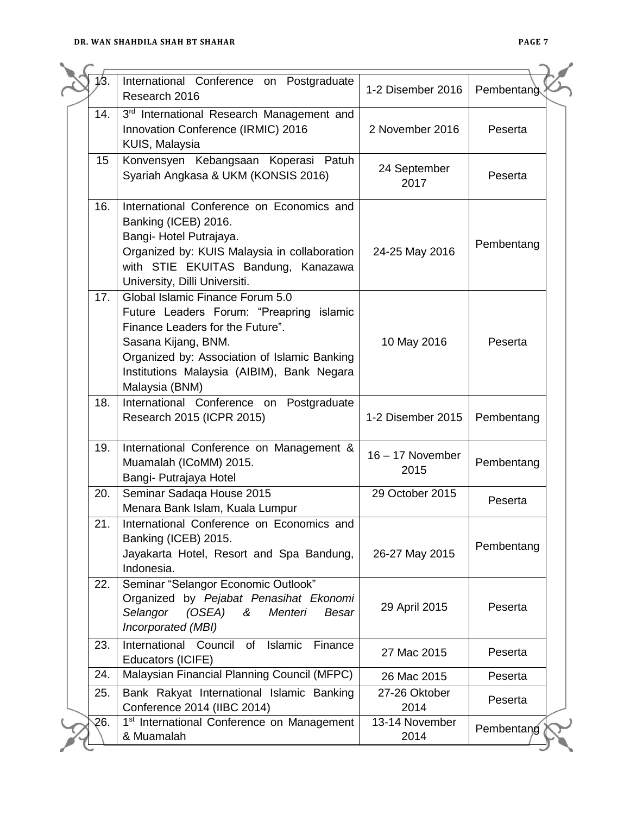|     | International Conference on Postgraduate<br>Research 2016                                                                                                                                                                                               | 1-2 Disember 2016          | Pembentang |
|-----|---------------------------------------------------------------------------------------------------------------------------------------------------------------------------------------------------------------------------------------------------------|----------------------------|------------|
| 14. | 3rd International Research Management and<br>Innovation Conference (IRMIC) 2016<br>KUIS, Malaysia                                                                                                                                                       | 2 November 2016            | Peserta    |
| 15  | Konvensyen Kebangsaan Koperasi Patuh<br>Syariah Angkasa & UKM (KONSIS 2016)                                                                                                                                                                             | 24 September<br>2017       | Peserta    |
| 16. | International Conference on Economics and<br>Banking (ICEB) 2016.<br>Bangi- Hotel Putrajaya.<br>Organized by: KUIS Malaysia in collaboration<br>with STIE EKUITAS Bandung, Kanazawa<br>University, Dilli Universiti.                                    | 24-25 May 2016             | Pembentang |
| 17. | Global Islamic Finance Forum 5.0<br>Future Leaders Forum: "Preapring islamic<br>Finance Leaders for the Future".<br>Sasana Kijang, BNM.<br>Organized by: Association of Islamic Banking<br>Institutions Malaysia (AIBIM), Bank Negara<br>Malaysia (BNM) | 10 May 2016                | Peserta    |
| 18. | International Conference on Postgraduate<br>Research 2015 (ICPR 2015)                                                                                                                                                                                   | 1-2 Disember 2015          | Pembentang |
| 19. | International Conference on Management &<br>Muamalah (ICoMM) 2015.<br>Bangi- Putrajaya Hotel                                                                                                                                                            | $16 - 17$ November<br>2015 | Pembentang |
| 20. | Seminar Sadaqa House 2015<br>Menara Bank Islam, Kuala Lumpur                                                                                                                                                                                            | 29 October 2015            | Peserta    |
| 21. | International Conference on Economics and<br>Banking (ICEB) 2015.<br>Jayakarta Hotel, Resort and Spa Bandung,<br>Indonesia.                                                                                                                             | 26-27 May 2015             | Pembentang |
| 22. | Seminar "Selangor Economic Outlook"<br>Organized by Pejabat Penasihat Ekonomi<br>Selangor<br>(OSEA)<br>Menteri<br>&<br><b>Besar</b><br>Incorporated (MBI)                                                                                               | 29 April 2015              | Peserta    |
| 23. | International Council of<br><b>Islamic</b><br>Finance<br>Educators (ICIFE)                                                                                                                                                                              | 27 Mac 2015                | Peserta    |
| 24. | Malaysian Financial Planning Council (MFPC)                                                                                                                                                                                                             | 26 Mac 2015                | Peserta    |
| 25. | Bank Rakyat International Islamic Banking<br>Conference 2014 (IIBC 2014)                                                                                                                                                                                | 27-26 Oktober<br>2014      | Peserta    |
| 26. | 1 <sup>st</sup> International Conference on Management<br>& Muamalah                                                                                                                                                                                    | 13-14 November<br>2014     | Pembentang |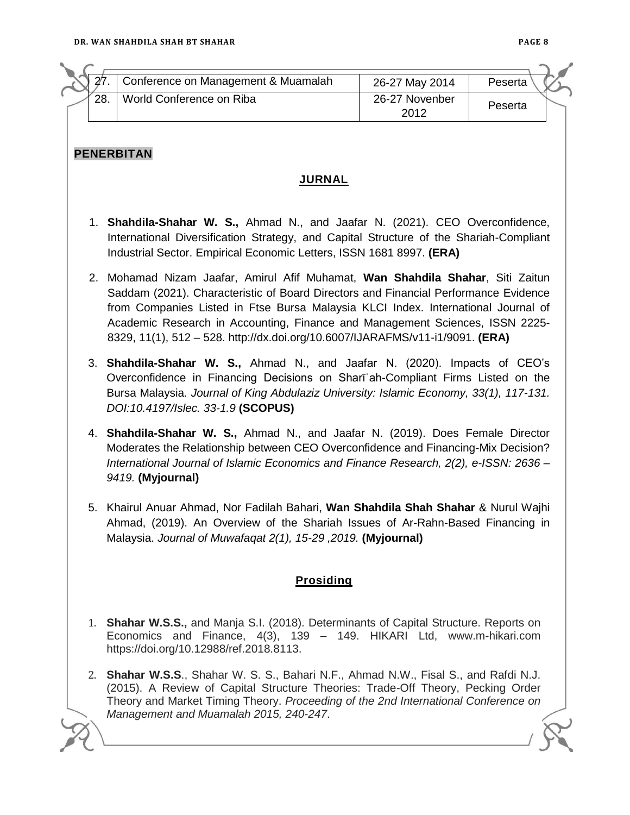| 27. | Conference on Management & Muamalah                                                                                                                                                                                                                                                                                                                                                                                         | 26-27 May 2014         | Peserta |  |
|-----|-----------------------------------------------------------------------------------------------------------------------------------------------------------------------------------------------------------------------------------------------------------------------------------------------------------------------------------------------------------------------------------------------------------------------------|------------------------|---------|--|
| 28. | World Conference on Riba                                                                                                                                                                                                                                                                                                                                                                                                    | 26-27 Novenber<br>2012 | Peserta |  |
|     |                                                                                                                                                                                                                                                                                                                                                                                                                             |                        |         |  |
|     | <b>PENERBITAN</b><br><u>JURNAL</u>                                                                                                                                                                                                                                                                                                                                                                                          |                        |         |  |
|     |                                                                                                                                                                                                                                                                                                                                                                                                                             |                        |         |  |
|     | 1. Shahdila-Shahar W. S., Ahmad N., and Jaafar N. (2021). CEO Overconfidence,<br>International Diversification Strategy, and Capital Structure of the Shariah-Compliant<br>Industrial Sector. Empirical Economic Letters, ISSN 1681 8997. (ERA)                                                                                                                                                                             |                        |         |  |
|     | 2. Mohamad Nizam Jaafar, Amirul Afif Muhamat, Wan Shahdila Shahar, Siti Zaitun<br>Saddam (2021). Characteristic of Board Directors and Financial Performance Evidence<br>from Companies Listed in Ftse Bursa Malaysia KLCI Index. International Journal of<br>Academic Research in Accounting, Finance and Management Sciences, ISSN 2225-<br>8329, 11(1), 512 - 528. http://dx.doi.org/10.6007/IJARAFMS/v11-i1/9091. (ERA) |                        |         |  |
|     | 3. Shahdila-Shahar W. S., Ahmad N., and Jaafar N. (2020). Impacts of CEO's<br>Overconfidence in Financing Decisions on Shari ah-Compliant Firms Listed on the<br>Bursa Malaysia. Journal of King Abdulaziz University: Islamic Economy, 33(1), 117-131.<br>DOI:10.4197/Islec. 33-1.9 (SCOPUS)                                                                                                                               |                        |         |  |
|     | 4. Shahdila-Shahar W. S., Ahmad N., and Jaafar N. (2019). Does Female Director<br>Moderates the Relationship between CEO Overconfidence and Financing-Mix Decision?<br>International Journal of Islamic Economics and Finance Research, 2(2), e-ISSN: 2636 -<br>9419. (Myjournal)                                                                                                                                           |                        |         |  |
|     | 5. Khairul Anuar Ahmad, Nor Fadilah Bahari, Wan Shahdila Shah Shahar & Nurul Wajhi<br>Ahmad, (2019). An Overview of the Shariah Issues of Ar-Rahn-Based Financing in<br>Malaysia. Journal of Muwafagat 2(1), 15-29, 2019. (Myjournal)                                                                                                                                                                                       |                        |         |  |
|     | Prosiding                                                                                                                                                                                                                                                                                                                                                                                                                   |                        |         |  |
|     | 1. Shahar W.S.S., and Manja S.I. (2018). Determinants of Capital Structure. Reports on<br>Economics and Finance, 4(3), 139 - 149. HIKARI Ltd, www.m-hikari.com<br>https://doi.org/10.12988/ref.2018.8113.                                                                                                                                                                                                                   |                        |         |  |
|     | 2. Shahar W.S.S., Shahar W. S. S., Bahari N.F., Ahmad N.W., Fisal S., and Rafdi N.J.<br>(2015). A Review of Capital Structure Theories: Trade-Off Theory, Pecking Order<br>Theory and Market Timing Theory. Proceeding of the 2nd International Conference on<br>Management and Muamalah 2015, 240-247.                                                                                                                     |                        |         |  |
|     |                                                                                                                                                                                                                                                                                                                                                                                                                             |                        |         |  |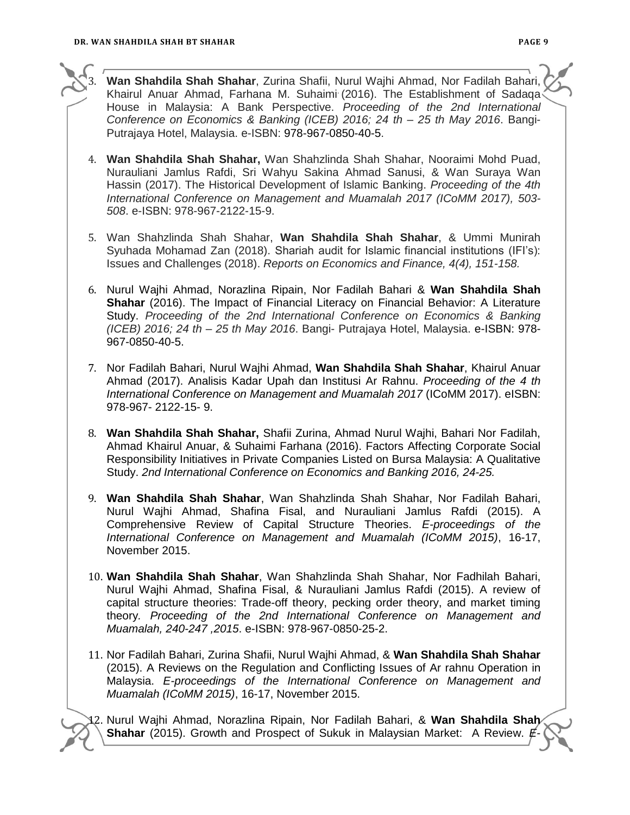



3. **Wan Shahdila Shah Shahar**, Zurina Shafii, Nurul Wajhi Ahmad, Nor Fadilah Bahari, Khairul Anuar Ahmad, Farhana M. Suhaimi (2016). The Establishment of Sadaqa House in Malaysia: A Bank Perspective. *Proceeding of the 2nd International Conference on Economics & Banking (ICEB) 2016; 24 th – 25 th May 2016*. Bangi-Putrajaya Hotel, Malaysia. e-ISBN: 978-967-0850-40-5.

- 4. **Wan Shahdila Shah Shahar,** Wan Shahzlinda Shah Shahar, Nooraimi Mohd Puad, Nurauliani Jamlus Rafdi, Sri Wahyu Sakina Ahmad Sanusi, & Wan Suraya Wan Hassin (2017). The Historical Development of Islamic Banking. *Proceeding of the 4th International Conference on Management and Muamalah 2017 (ICoMM 2017), 503- 508*. e-ISBN: 978-967-2122-15-9.
- 5. Wan Shahzlinda Shah Shahar, **Wan Shahdila Shah Shahar**, & Ummi Munirah Syuhada Mohamad Zan (2018). Shariah audit for Islamic financial institutions (IFI's): Issues and Challenges (2018). *Reports on Economics and Finance, 4(4), 151-158.*
- 6. Nurul Wajhi Ahmad, Norazlina Ripain, Nor Fadilah Bahari & **Wan Shahdila Shah Shahar** (2016). The Impact of Financial Literacy on Financial Behavior: A Literature Study. *Proceeding of the 2nd International Conference on Economics & Banking (ICEB) 2016; 24 th – 25 th May 2016*. Bangi- Putrajaya Hotel, Malaysia. e-ISBN: 978- 967-0850-40-5.
- 7. Nor Fadilah Bahari, Nurul Wajhi Ahmad, **Wan Shahdila Shah Shahar**, Khairul Anuar Ahmad (2017). Analisis Kadar Upah dan Institusi Ar Rahnu. *Proceeding of the 4 th International Conference on Management and Muamalah 2017* (ICoMM 2017). eISBN: 978-967- 2122-15- 9.
- 8. **Wan Shahdila Shah Shahar,** Shafii Zurina, Ahmad Nurul Wajhi, Bahari Nor Fadilah, Ahmad Khairul Anuar, & Suhaimi Farhana (2016). Factors Affecting Corporate Social Responsibility Initiatives in Private Companies Listed on Bursa Malaysia: A Qualitative Study. *2nd International Conference on Economics and Banking 2016, 24-25.*
- 9. **Wan Shahdila Shah Shahar**, Wan Shahzlinda Shah Shahar, Nor Fadilah Bahari, Nurul Wajhi Ahmad, Shafina Fisal, and Nurauliani Jamlus Rafdi (2015). A Comprehensive Review of Capital Structure Theories. *E-proceedings of the International Conference on Management and Muamalah (ICoMM 2015)*, 16-17, November 2015.
- 10. **Wan Shahdila Shah Shahar**, Wan Shahzlinda Shah Shahar, Nor Fadhilah Bahari, Nurul Wajhi Ahmad, Shafina Fisal, & Nurauliani Jamlus Rafdi (2015). A review of capital structure theories: Trade-off theory, pecking order theory, and market timing theory*. Proceeding of the 2nd International Conference on Management and Muamalah, 240-247 ,2015*. e-ISBN: 978-967-0850-25-2.
- 11. Nor Fadilah Bahari, Zurina Shafii, Nurul Wajhi Ahmad, & **Wan Shahdila Shah Shahar** (2015). A Reviews on the Regulation and Conflicting Issues of Ar rahnu Operation in Malaysia. *E-proceedings of the International Conference on Management and Muamalah (ICoMM 2015)*, 16-17, November 2015.

12. Nurul Wajhi Ahmad, Norazlina Ripain, Nor Fadilah Bahari, & **Wan Shahdila Shah**  Shahar (2015). Growth and Prospect of Sukuk in Malaysian Market: A Review.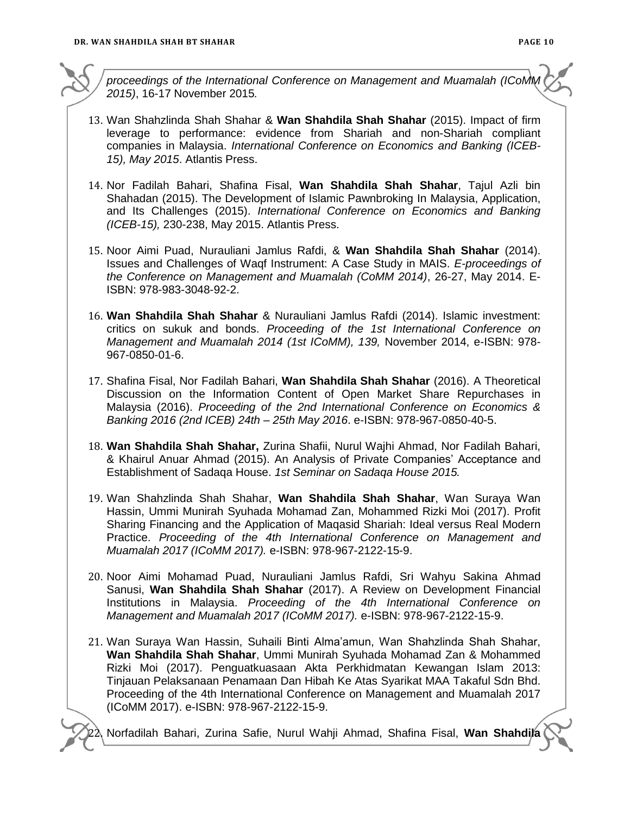*proceedings of the International Conference on Management and Muamalah (ICoMM 2015)*, 16-17 November 2015*.*

- 13. Wan Shahzlinda Shah Shahar & **Wan Shahdila Shah Shahar** (2015). Impact of firm leverage to performance: evidence from Shariah and non-Shariah compliant companies in Malaysia. *International Conference on Economics and Banking (ICEB-15), May 2015*. Atlantis Press.
- 14. Nor Fadilah Bahari, Shafina Fisal, **Wan Shahdila Shah Shahar**, Tajul Azli bin Shahadan (2015). The Development of Islamic Pawnbroking In Malaysia, Application, and Its Challenges (2015). *International Conference on Economics and Banking (ICEB-15),* 230-238, May 2015. Atlantis Press.
- 15. Noor Aimi Puad, Nurauliani Jamlus Rafdi, & **Wan Shahdila Shah Shahar** (2014). Issues and Challenges of Waqf Instrument: A Case Study in MAIS. *E-proceedings of the Conference on Management and Muamalah (CoMM 2014)*, 26-27, May 2014. E-ISBN: 978-983-3048-92-2.
- 16. **Wan Shahdila Shah Shahar** & Nurauliani Jamlus Rafdi (2014). Islamic investment: critics on sukuk and bonds. *Proceeding of the 1st International Conference on Management and Muamalah 2014 (1st ICoMM), 139,* November 2014, e-ISBN: 978- 967-0850-01-6.
- 17. Shafina Fisal, Nor Fadilah Bahari, **Wan Shahdila Shah Shahar** (2016). A Theoretical Discussion on the Information Content of Open Market Share Repurchases in Malaysia (2016). *Proceeding of the 2nd International Conference on Economics & Banking 2016 (2nd ICEB) 24th – 25th May 2016*. e-ISBN: 978-967-0850-40-5.
- 18. **Wan Shahdila Shah Shahar,** Zurina Shafii, Nurul Wajhi Ahmad, Nor Fadilah Bahari, & Khairul Anuar Ahmad (2015). An Analysis of Private Companies' Acceptance and Establishment of Sadaqa House. *1st Seminar on Sadaqa House 2015.*
- 19. Wan Shahzlinda Shah Shahar, **Wan Shahdila Shah Shahar**, Wan Suraya Wan Hassin, Ummi Munirah Syuhada Mohamad Zan, Mohammed Rizki Moi (2017). Profit Sharing Financing and the Application of Maqasid Shariah: Ideal versus Real Modern Practice. *Proceeding of the 4th International Conference on Management and Muamalah 2017 (ICoMM 2017).* e-ISBN: 978-967-2122-15-9.
- 20. Noor Aimi Mohamad Puad, Nurauliani Jamlus Rafdi, Sri Wahyu Sakina Ahmad Sanusi, **Wan Shahdila Shah Shahar** (2017). A Review on Development Financial Institutions in Malaysia. *Proceeding of the 4th International Conference on Management and Muamalah 2017 (ICoMM 2017).* e-ISBN: 978-967-2122-15-9.
- 21. Wan Suraya Wan Hassin, Suhaili Binti Alma'amun, Wan Shahzlinda Shah Shahar, **Wan Shahdila Shah Shahar**, Ummi Munirah Syuhada Mohamad Zan & Mohammed Rizki Moi (2017). Penguatkuasaan Akta Perkhidmatan Kewangan Islam 2013: Tinjauan Pelaksanaan Penamaan Dan Hibah Ke Atas Syarikat MAA Takaful Sdn Bhd. Proceeding of the 4th International Conference on Management and Muamalah 2017 (ICoMM 2017). e-ISBN: 978-967-2122-15-9.

22. Norfadilah Bahari, Zurina Safie, Nurul Wahji Ahmad, Shafina Fisal, **Wan Shahdila**